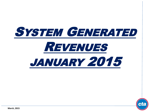

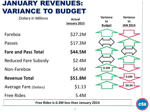## JANUARY REVENUES: VARIANCE TO BUDGET

| <b>Dollars in Millions</b>                | <b>Actual</b><br><b>January 2015</b> | <b>Variance</b><br>to<br><b>Budget</b> | <b>Variance</b><br>to<br><b>JAN 2014</b> |  |
|-------------------------------------------|--------------------------------------|----------------------------------------|------------------------------------------|--|
| Farebox                                   | \$27.2M                              |                                        |                                          |  |
| Passes                                    | \$17.3M                              |                                        |                                          |  |
| <b>Fare and Pass Total</b>                | \$44.5M                              |                                        |                                          |  |
| <b>Reduced Fare Subsidy</b>               | \$2.4M                               |                                        |                                          |  |
| Non-Farebox                               | \$4.9M                               | 0.5M                                   |                                          |  |
| <b>Revenue Total</b>                      | \$51.8M                              |                                        | 0.6M                                     |  |
| <b>Average Fare (Dollars)</b>             | \$1.13                               |                                        | \$0.04                                   |  |
| <b>Free Rides</b>                         | 5.4M                                 |                                        |                                          |  |
| Free Rides is 0.3M less than January 2014 |                                      |                                        |                                          |  |

 $\boldsymbol{\varepsilon}$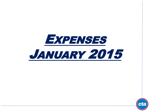

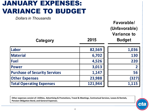## JANUARY EXPENSES: VARIANCE TO BUDGET

| <b>Dollars in Thousands</b><br>Category | 2015    | Favorable/<br>(Unfavorable)<br><b>Variance to</b><br><b>Budget</b> |
|-----------------------------------------|---------|--------------------------------------------------------------------|
| Labor                                   | 82,569  | 1,036                                                              |
| <b>Material</b>                         | 6,702   | 130                                                                |
| <b>Fuel</b>                             | 4,526   | 220                                                                |
| <b>Power</b>                            | 3,013   | $\overline{2}$                                                     |
| <b>Purchase of Security Services</b>    | 1,147   | 56                                                                 |
| <b>Other Expenses</b>                   | 23,988  | (327)                                                              |
| <b>Total Operating Expenses</b>         | 121,944 | 1,115                                                              |

**Other expenses consist of: Utilities, Advertising & Promotions, Travel & Meetings, Contractual Services, Leases & Rentals, Pension Obligation Bond, and General Expenses.**